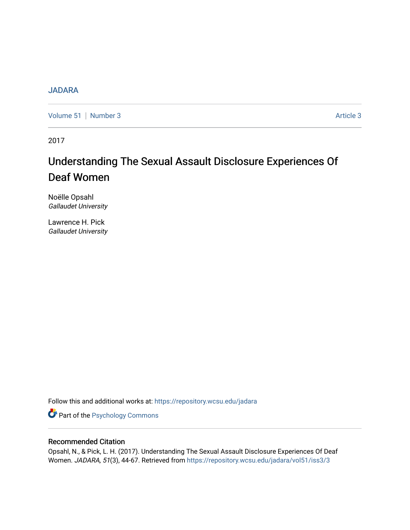# [JADARA](https://repository.wcsu.edu/jadara)

[Volume 51](https://repository.wcsu.edu/jadara/vol51) | [Number 3](https://repository.wcsu.edu/jadara/vol51/iss3) Article 3

2017

# Understanding The Sexual Assault Disclosure Experiences Of Deaf Women

Noëlle Opsahl Gallaudet University

Lawrence H. Pick Gallaudet University

Follow this and additional works at: [https://repository.wcsu.edu/jadara](https://repository.wcsu.edu/jadara?utm_source=repository.wcsu.edu%2Fjadara%2Fvol51%2Fiss3%2F3&utm_medium=PDF&utm_campaign=PDFCoverPages)

**Part of the Psychology Commons** 

# Recommended Citation

Opsahl, N., & Pick, L. H. (2017). Understanding The Sexual Assault Disclosure Experiences Of Deaf Women. JADARA, 51(3), 44-67. Retrieved from [https://repository.wcsu.edu/jadara/vol51/iss3/3](https://repository.wcsu.edu/jadara/vol51/iss3/3?utm_source=repository.wcsu.edu%2Fjadara%2Fvol51%2Fiss3%2F3&utm_medium=PDF&utm_campaign=PDFCoverPages)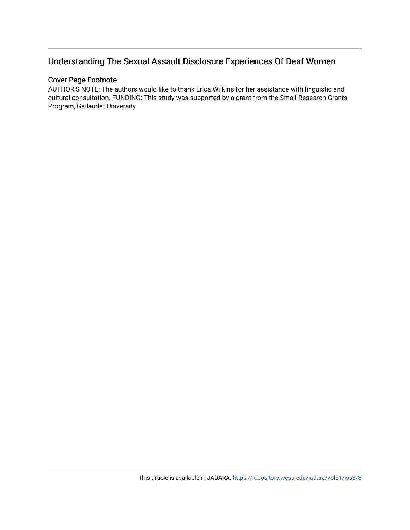# Understanding The Sexual Assault Disclosure Experiences Of Deaf Women

# Cover Page Footnote

AUTHOR'S NOTE: The authors would like to thank Erica Wilkins for her assistance with linguistic and cultural consultation. FUNDING: This study was supported by a grant from the Small Research Grants Program, Gallaudet University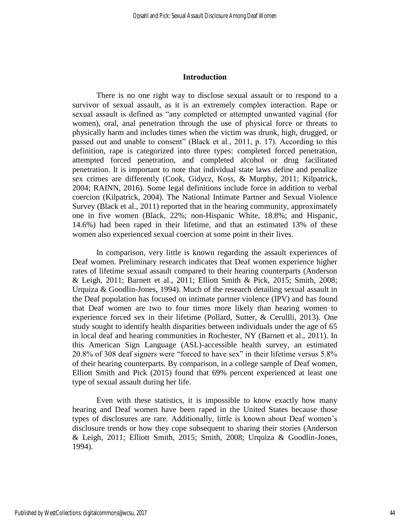#### **Introduction**

There is no one right way to disclose sexual assault or to respond to a survivor of sexual assault, as it is an extremely complex interaction. Rape or sexual assault is defined as "any completed or attempted unwanted vaginal (for women), oral, anal penetration through the use of physical force or threats to physically harm and includes times when the victim was drunk, high, drugged, or passed out and unable to consent" (Black et al., 2011, p. 17). According to this definition, rape is categorized into three types: completed forced penetration, attempted forced penetration, and completed alcohol or drug facilitated penetration. It is important to note that individual state laws define and penalize sex crimes are differently (Cook, Gidycz, Koss, & Murphy, 2011; Kilpatrick, 2004; RAINN, 2016). Some legal definitions include force in addition to verbal coercion (Kilpatrick, 2004). The National Intimate Partner and Sexual Violence Survey (Black et al., 2011) reported that in the hearing community, approximately one in five women (Black, 22%; non-Hispanic White, 18.8%; and Hispanic, 14.6%) had been raped in their lifetime, and that an estimated 13% of these women also experienced sexual coercion at some point in their lives.

In comparison, very little is known regarding the assault experiences of Deaf women. Preliminary research indicates that Deaf women experience higher rates of lifetime sexual assault compared to their hearing counterparts (Anderson & Leigh, 2011; Barnett et al., 2011; Elliott Smith & Pick, 2015; Smith, 2008; Urquiza & Goodlin-Jones, 1994). Much of the research detailing sexual assault in the Deaf population has focused on intimate partner violence (IPV) and has found that Deaf women are two to four times more likely than hearing women to experience forced sex in their lifetime (Pollard, Sutter, & Cerullli, 2013). One study sought to identify health disparities between individuals under the age of 65 in local deaf and hearing communities in Rochester, NY (Barnett et al., 2011). In this American Sign Language (ASL)-accessible health survey, an estimated 20.8% of 308 deaf signers were "forced to have sex" in their lifetime versus 5.8% of their hearing counterparts. By comparison, in a college sample of Deaf women, Elliott Smith and Pick (2015) found that 69% percent experienced at least one type of sexual assault during her life.

Even with these statistics, it is impossible to know exactly how many hearing and Deaf women have been raped in the United States because those types of disclosures are rare*.* Additionally, little is known about Deaf women's disclosure trends or how they cope subsequent to sharing their stories (Anderson & Leigh, 2011; Elliott Smith, 2015; Smith, 2008; Urquiza & Goodlin-Jones, 1994).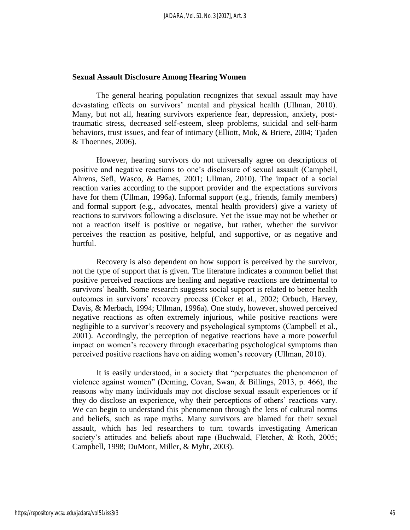#### **Sexual Assault Disclosure Among Hearing Women**

The general hearing population recognizes that sexual assault may have devastating effects on survivors' mental and physical health (Ullman, 2010). Many, but not all, hearing survivors experience fear, depression, anxiety, posttraumatic stress, decreased self-esteem, sleep problems, suicidal and self-harm behaviors, trust issues, and fear of intimacy (Elliott, Mok, & Briere, 2004; Tjaden & Thoennes, 2006).

However, hearing survivors do not universally agree on descriptions of positive and negative reactions to one's disclosure of sexual assault (Campbell, Ahrens, Sefl, Wasco, & Barnes, 2001; Ullman, 2010). The impact of a social reaction varies according to the support provider and the expectations survivors have for them (Ullman, 1996a). Informal support (e.g., friends, family members) and formal support (e.g., advocates, mental health providers) give a variety of reactions to survivors following a disclosure. Yet the issue may not be whether or not a reaction itself is positive or negative, but rather, whether the survivor perceives the reaction as positive, helpful, and supportive, or as negative and hurtful.

Recovery is also dependent on how support is perceived by the survivor, not the type of support that is given. The literature indicates a common belief that positive perceived reactions are healing and negative reactions are detrimental to survivors' health. Some research suggests social support is related to better health outcomes in survivors' recovery process (Coker et al., 2002; Orbuch, Harvey, Davis, & Merbach, 1994; Ullman, 1996a). One study, however, showed perceived negative reactions as often extremely injurious, while positive reactions were negligible to a survivor's recovery and psychological symptoms (Campbell et al., 2001). Accordingly, the perception of negative reactions have a more powerful impact on women's recovery through exacerbating psychological symptoms than perceived positive reactions have on aiding women's recovery (Ullman, 2010).

It is easily understood, in a society that "perpetuates the phenomenon of violence against women" (Deming, Covan, Swan, & Billings, 2013, p. 466), the reasons why many individuals may not disclose sexual assault experiences or if they do disclose an experience, why their perceptions of others' reactions vary. We can begin to understand this phenomenon through the lens of cultural norms and beliefs, such as rape myths. Many survivors are blamed for their sexual assault, which has led researchers to turn towards investigating American society's attitudes and beliefs about rape (Buchwald, Fletcher, & Roth, 2005; Campbell, 1998; DuMont, Miller, & Myhr, 2003).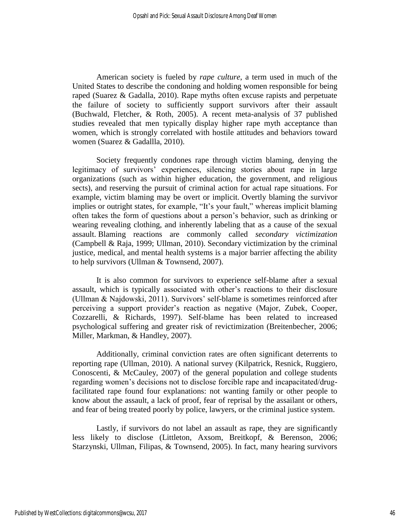American society is fueled by *rape culture*, a term used in much of the United States to describe the condoning and holding women responsible for being raped (Suarez & Gadalla, 2010). Rape myths often excuse rapists and perpetuate the failure of society to sufficiently support survivors after their assault (Buchwald, Fletcher, & Roth, 2005). A recent meta-analysis of 37 published studies revealed that men typically display higher rape myth acceptance than women, which is strongly correlated with hostile attitudes and behaviors toward women (Suarez & Gadallla, 2010).

Society frequently condones rape through victim blaming, denying the legitimacy of survivors' experiences, silencing stories about rape in large organizations (such as within higher education, the government, and religious sects), and reserving the pursuit of criminal action for actual rape situations. For example, victim blaming may be overt or implicit. Overtly blaming the survivor implies or outright states, for example, "It's your fault," whereas implicit blaming often takes the form of questions about a person's behavior, such as drinking or wearing revealing clothing, and inherently labeling that as a cause of the sexual assault. Blaming reactions are commonly called *secondary victimization* (Campbell & Raja, 1999; Ullman, 2010). Secondary victimization by the criminal justice, medical, and mental health systems is a major barrier affecting the ability to help survivors (Ullman & Townsend, 2007).

It is also common for survivors to experience self-blame after a sexual assault, which is typically associated with other's reactions to their disclosure (Ullman & Najdowski, 2011). Survivors' self-blame is sometimes reinforced after perceiving a support provider's reaction as negative (Major, Zubek, Cooper, Cozzarelli, & Richards, 1997). Self-blame has been related to increased psychological suffering and greater risk of revictimization (Breitenbecher, 2006; Miller, Markman, & Handley, 2007).

Additionally, criminal conviction rates are often significant deterrents to reporting rape (Ullman, 2010). A national survey (Kilpatrick, Resnick, Ruggiero, Conoscenti, & McCauley, 2007) of the general population and college students regarding women's decisions not to disclose forcible rape and incapacitated/drugfacilitated rape found four explanations: not wanting family or other people to know about the assault, a lack of proof, fear of reprisal by the assailant or others, and fear of being treated poorly by police, lawyers, or the criminal justice system.

Lastly, if survivors do not label an assault as rape, they are significantly less likely to disclose (Littleton, Axsom, Breitkopf, & Berenson, 2006; Starzynski, Ullman, Filipas, & Townsend, 2005). In fact, many hearing survivors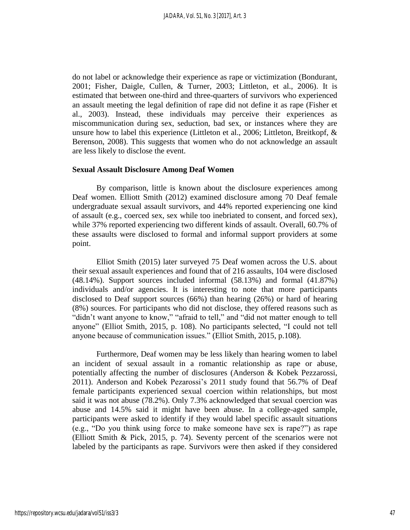do not label or acknowledge their experience as rape or victimization (Bondurant, 2001; Fisher, Daigle, Cullen, & Turner, 2003; Littleton, et al., 2006). It is estimated that between one-third and three-quarters of survivors who experienced an assault meeting the legal definition of rape did not define it as rape (Fisher et al., 2003). Instead, these individuals may perceive their experiences as miscommunication during sex, seduction, bad sex, or instances where they are unsure how to label this experience (Littleton et al., 2006; Littleton, Breitkopf, & Berenson, 2008). This suggests that women who do not acknowledge an assault are less likely to disclose the event.

#### **Sexual Assault Disclosure Among Deaf Women**

By comparison, little is known about the disclosure experiences among Deaf women. Elliott Smith (2012) examined disclosure among 70 Deaf female undergraduate sexual assault survivors, and 44% reported experiencing one kind of assault (e.g., coerced sex, sex while too inebriated to consent, and forced sex), while 37% reported experiencing two different kinds of assault. Overall, 60.7% of these assaults were disclosed to formal and informal support providers at some point.

Elliot Smith (2015) later surveyed 75 Deaf women across the U.S. about their sexual assault experiences and found that of 216 assaults, 104 were disclosed (48.14%). Support sources included informal (58.13%) and formal (41.87%) individuals and/or agencies. It is interesting to note that more participants disclosed to Deaf support sources (66%) than hearing (26%) or hard of hearing (8%) sources. For participants who did not disclose, they offered reasons such as "didn't want anyone to know," "afraid to tell," and "did not matter enough to tell anyone" (Elliot Smith, 2015, p. 108). No participants selected, "I could not tell anyone because of communication issues." (Elliot Smith, 2015, p.108).

Furthermore, Deaf women may be less likely than hearing women to label an incident of sexual assault in a romantic relationship as rape or abuse, potentially affecting the number of disclosures (Anderson & Kobek Pezzarossi, 2011). Anderson and Kobek Pezarossi's 2011 study found that 56.7% of Deaf female participants experienced sexual coercion within relationships, but most said it was not abuse (78.2%). Only 7.3% acknowledged that sexual coercion was abuse and 14.5% said it might have been abuse. In a college-aged sample, participants were asked to identify if they would label specific assault situations (e.g., "Do you think using force to make someone have sex is rape?") as rape (Elliott Smith & Pick, 2015, p. 74). Seventy percent of the scenarios were not labeled by the participants as rape. Survivors were then asked if they considered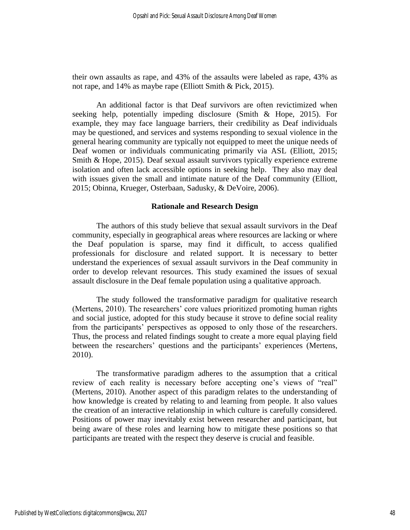their own assaults as rape, and 43% of the assaults were labeled as rape, 43% as not rape, and 14% as maybe rape (Elliott Smith & Pick, 2015).

An additional factor is that Deaf survivors are often revictimized when seeking help, potentially impeding disclosure (Smith & Hope, 2015). For example, they may face language barriers, their credibility as Deaf individuals may be questioned, and services and systems responding to sexual violence in the general hearing community are typically not equipped to meet the unique needs of Deaf women or individuals communicating primarily via ASL (Elliott, 2015; Smith & Hope, 2015). Deaf sexual assault survivors typically experience extreme isolation and often lack accessible options in seeking help. They also may deal with issues given the small and intimate nature of the Deaf community (Elliott, 2015; Obinna, Krueger, Osterbaan, Sadusky, & DeVoire, 2006).

#### **Rationale and Research Design**

The authors of this study believe that sexual assault survivors in the Deaf community, especially in geographical areas where resources are lacking or where the Deaf population is sparse, may find it difficult, to access qualified professionals for disclosure and related support. It is necessary to better understand the experiences of sexual assault survivors in the Deaf community in order to develop relevant resources. This study examined the issues of sexual assault disclosure in the Deaf female population using a qualitative approach.

The study followed the transformative paradigm for qualitative research (Mertens, 2010). The researchers' core values prioritized promoting human rights and social justice, adopted for this study because it strove to define social reality from the participants' perspectives as opposed to only those of the researchers. Thus, the process and related findings sought to create a more equal playing field between the researchers' questions and the participants' experiences (Mertens, 2010).

The transformative paradigm adheres to the assumption that a critical review of each reality is necessary before accepting one's views of "real" (Mertens, 2010). Another aspect of this paradigm relates to the understanding of how knowledge is created by relating to and learning from people. It also values the creation of an interactive relationship in which culture is carefully considered. Positions of power may inevitably exist between researcher and participant, but being aware of these roles and learning how to mitigate these positions so that participants are treated with the respect they deserve is crucial and feasible.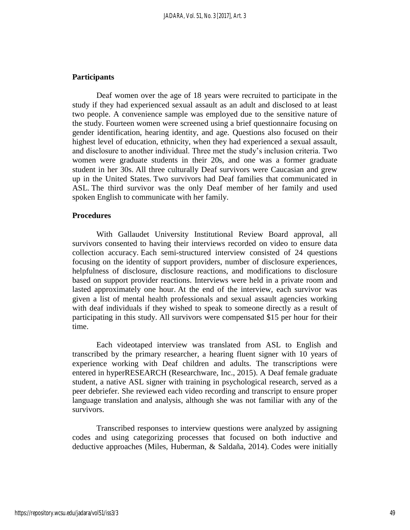## **Participants**

Deaf women over the age of 18 years were recruited to participate in the study if they had experienced sexual assault as an adult and disclosed to at least two people. A convenience sample was employed due to the sensitive nature of the study. Fourteen women were screened using a brief questionnaire focusing on gender identification, hearing identity, and age. Questions also focused on their highest level of education, ethnicity, when they had experienced a sexual assault, and disclosure to another individual. Three met the study's inclusion criteria. Two women were graduate students in their 20s, and one was a former graduate student in her 30s. All three culturally Deaf survivors were Caucasian and grew up in the United States. Two survivors had Deaf families that communicated in ASL. The third survivor was the only Deaf member of her family and used spoken English to communicate with her family.

#### **Procedures**

With Gallaudet University Institutional Review Board approval, all survivors consented to having their interviews recorded on video to ensure data collection accuracy. Each semi-structured interview consisted of 24 questions focusing on the identity of support providers, number of disclosure experiences, helpfulness of disclosure, disclosure reactions, and modifications to disclosure based on support provider reactions. Interviews were held in a private room and lasted approximately one hour. At the end of the interview, each survivor was given a list of mental health professionals and sexual assault agencies working with deaf individuals if they wished to speak to someone directly as a result of participating in this study. All survivors were compensated \$15 per hour for their time.

Each videotaped interview was translated from ASL to English and transcribed by the primary researcher, a hearing fluent signer with 10 years of experience working with Deaf children and adults. The transcriptions were entered in hyperRESEARCH (Researchware, Inc., 2015). A Deaf female graduate student, a native ASL signer with training in psychological research, served as a peer debriefer. She reviewed each video recording and transcript to ensure proper language translation and analysis, although she was not familiar with any of the survivors.

Transcribed responses to interview questions were analyzed by assigning codes and using categorizing processes that focused on both inductive and deductive approaches (Miles, Huberman, & Saldaña, 2014). Codes were initially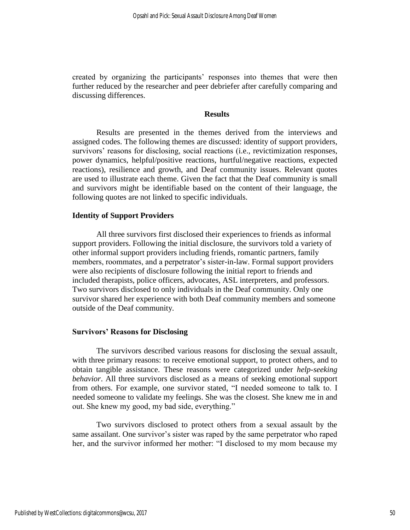created by organizing the participants' responses into themes that were then further reduced by the researcher and peer debriefer after carefully comparing and discussing differences.

#### **Results**

Results are presented in the themes derived from the interviews and assigned codes. The following themes are discussed: identity of support providers, survivors' reasons for disclosing, social reactions (i.e., revictimization responses, power dynamics, helpful/positive reactions, hurtful/negative reactions, expected reactions), resilience and growth, and Deaf community issues. Relevant quotes are used to illustrate each theme. Given the fact that the Deaf community is small and survivors might be identifiable based on the content of their language, the following quotes are not linked to specific individuals.

#### **Identity of Support Providers**

All three survivors first disclosed their experiences to friends as informal support providers. Following the initial disclosure, the survivors told a variety of other informal support providers including friends, romantic partners, family members, roommates, and a perpetrator's sister-in-law. Formal support providers were also recipients of disclosure following the initial report to friends and included therapists, police officers, advocates, ASL interpreters, and professors. Two survivors disclosed to only individuals in the Deaf community. Only one survivor shared her experience with both Deaf community members and someone outside of the Deaf community.

#### **Survivors' Reasons for Disclosing**

The survivors described various reasons for disclosing the sexual assault, with three primary reasons: to receive emotional support, to protect others, and to obtain tangible assistance. These reasons were categorized under *help-seeking behavior*. All three survivors disclosed as a means of seeking emotional support from others. For example, one survivor stated, "I needed someone to talk to. I needed someone to validate my feelings. She was the closest. She knew me in and out. She knew my good, my bad side, everything."

Two survivors disclosed to protect others from a sexual assault by the same assailant. One survivor's sister was raped by the same perpetrator who raped her, and the survivor informed her mother: "I disclosed to my mom because my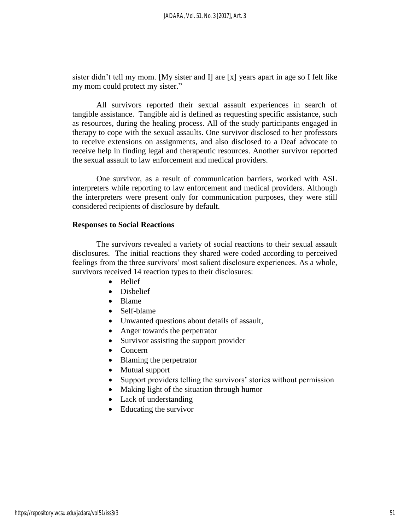sister didn't tell my mom. [My sister and I] are [x] years apart in age so I felt like my mom could protect my sister."

All survivors reported their sexual assault experiences in search of tangible assistance. Tangible aid is defined as requesting specific assistance, such as resources, during the healing process. All of the study participants engaged in therapy to cope with the sexual assaults. One survivor disclosed to her professors to receive extensions on assignments, and also disclosed to a Deaf advocate to receive help in finding legal and therapeutic resources. Another survivor reported the sexual assault to law enforcement and medical providers.

One survivor, as a result of communication barriers, worked with ASL interpreters while reporting to law enforcement and medical providers. Although the interpreters were present only for communication purposes, they were still considered recipients of disclosure by default.

#### **Responses to Social Reactions**

The survivors revealed a variety of social reactions to their sexual assault disclosures. The initial reactions they shared were coded according to perceived feelings from the three survivors' most salient disclosure experiences. As a whole, survivors received 14 reaction types to their disclosures:

- Belief
- Disbelief
- Blame
- Self-blame
- Unwanted questions about details of assault,
- Anger towards the perpetrator
- Survivor assisting the support provider
- Concern
- Blaming the perpetrator
- Mutual support
- Support providers telling the survivors' stories without permission
- Making light of the situation through humor
- Lack of understanding
- Educating the survivor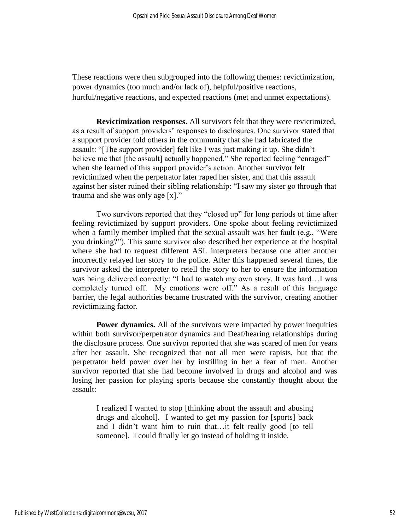These reactions were then subgrouped into the following themes: revictimization, power dynamics (too much and/or lack of), helpful/positive reactions, hurtful/negative reactions, and expected reactions (met and unmet expectations).

**Revictimization responses.** All survivors felt that they were revictimized, as a result of support providers' responses to disclosures. One survivor stated that a support provider told others in the community that she had fabricated the assault: "[The support provider] felt like I was just making it up. She didn't believe me that [the assault] actually happened." She reported feeling "enraged" when she learned of this support provider's action. Another survivor felt revictimized when the perpetrator later raped her sister, and that this assault against her sister ruined their sibling relationship: "I saw my sister go through that trauma and she was only age [x]."

Two survivors reported that they "closed up" for long periods of time after feeling revictimized by support providers. One spoke about feeling revictimized when a family member implied that the sexual assault was her fault (e.g., "Were you drinking?"). This same survivor also described her experience at the hospital where she had to request different ASL interpreters because one after another incorrectly relayed her story to the police. After this happened several times, the survivor asked the interpreter to retell the story to her to ensure the information was being delivered correctly: "I had to watch my own story. It was hard…I was completely turned off. My emotions were off." As a result of this language barrier, the legal authorities became frustrated with the survivor, creating another revictimizing factor.

**Power dynamics.** All of the survivors were impacted by power inequities within both survivor/perpetrator dynamics and Deaf/hearing relationships during the disclosure process. One survivor reported that she was scared of men for years after her assault. She recognized that not all men were rapists, but that the perpetrator held power over her by instilling in her a fear of men. Another survivor reported that she had become involved in drugs and alcohol and was losing her passion for playing sports because she constantly thought about the assault:

I realized I wanted to stop [thinking about the assault and abusing drugs and alcohol]. I wanted to get my passion for [sports] back and I didn't want him to ruin that…it felt really good [to tell someone]. I could finally let go instead of holding it inside.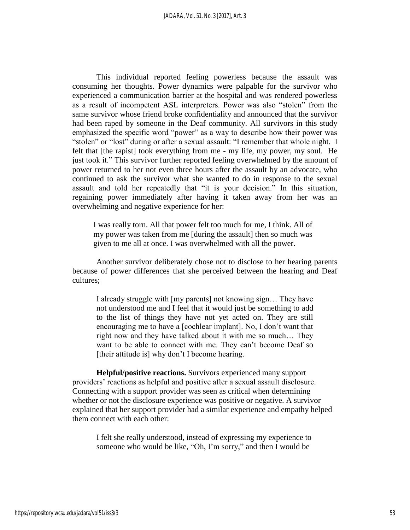This individual reported feeling powerless because the assault was consuming her thoughts. Power dynamics were palpable for the survivor who experienced a communication barrier at the hospital and was rendered powerless as a result of incompetent ASL interpreters. Power was also "stolen" from the same survivor whose friend broke confidentiality and announced that the survivor had been raped by someone in the Deaf community. All survivors in this study emphasized the specific word "power" as a way to describe how their power was "stolen" or "lost" during or after a sexual assault: "I remember that whole night. I felt that [the rapist] took everything from me - my life, my power, my soul. He just took it." This survivor further reported feeling overwhelmed by the amount of power returned to her not even three hours after the assault by an advocate, who continued to ask the survivor what she wanted to do in response to the sexual assault and told her repeatedly that "it is your decision." In this situation, regaining power immediately after having it taken away from her was an overwhelming and negative experience for her:

I was really torn. All that power felt too much for me, I think. All of my power was taken from me [during the assault] then so much was given to me all at once. I was overwhelmed with all the power.

Another survivor deliberately chose not to disclose to her hearing parents because of power differences that she perceived between the hearing and Deaf cultures;

I already struggle with [my parents] not knowing sign… They have not understood me and I feel that it would just be something to add to the list of things they have not yet acted on. They are still encouraging me to have a [cochlear implant]. No, I don't want that right now and they have talked about it with me so much… They want to be able to connect with me. They can't become Deaf so [their attitude is] why don't I become hearing.

**Helpful/positive reactions.** Survivors experienced many support providers' reactions as helpful and positive after a sexual assault disclosure. Connecting with a support provider was seen as critical when determining whether or not the disclosure experience was positive or negative. A survivor explained that her support provider had a similar experience and empathy helped them connect with each other:

I felt she really understood, instead of expressing my experience to someone who would be like, "Oh, I'm sorry," and then I would be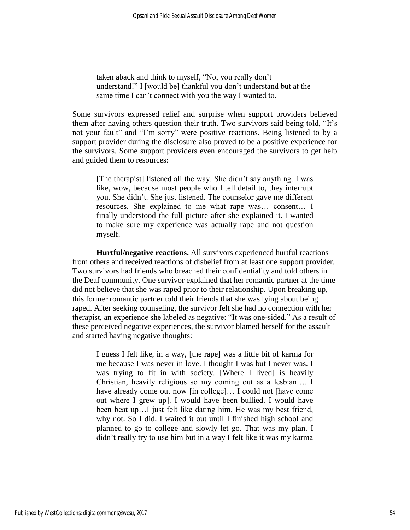taken aback and think to myself, "No, you really don't understand!" I [would be] thankful you don't understand but at the same time I can't connect with you the way I wanted to.

Some survivors expressed relief and surprise when support providers believed them after having others question their truth. Two survivors said being told, "It's not your fault" and "I'm sorry" were positive reactions. Being listened to by a support provider during the disclosure also proved to be a positive experience for the survivors. Some support providers even encouraged the survivors to get help and guided them to resources:

[The therapist] listened all the way. She didn't say anything. I was like, wow, because most people who I tell detail to, they interrupt you. She didn't. She just listened. The counselor gave me different resources. She explained to me what rape was… consent… I finally understood the full picture after she explained it. I wanted to make sure my experience was actually rape and not question myself.

**Hurtful/negative reactions.** All survivors experienced hurtful reactions from others and received reactions of disbelief from at least one support provider. Two survivors had friends who breached their confidentiality and told others in the Deaf community. One survivor explained that her romantic partner at the time did not believe that she was raped prior to their relationship. Upon breaking up, this former romantic partner told their friends that she was lying about being raped. After seeking counseling, the survivor felt she had no connection with her therapist, an experience she labeled as negative: "It was one-sided." As a result of these perceived negative experiences, the survivor blamed herself for the assault and started having negative thoughts:

I guess I felt like, in a way, [the rape] was a little bit of karma for me because I was never in love. I thought I was but I never was. I was trying to fit in with society. [Where I lived] is heavily Christian, heavily religious so my coming out as a lesbian…. I have already come out now [in college]... I could not [have come out where I grew up]. I would have been bullied. I would have been beat up…I just felt like dating him. He was my best friend, why not. So I did. I waited it out until I finished high school and planned to go to college and slowly let go. That was my plan. I didn't really try to use him but in a way I felt like it was my karma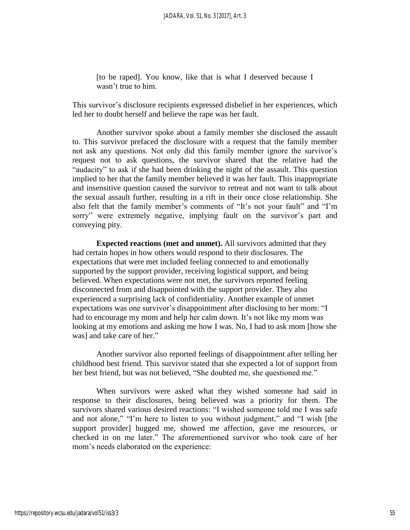[to be raped]. You know, like that is what I deserved because I wasn't true to him.

This survivor's disclosure recipients expressed disbelief in her experiences, which led her to doubt herself and believe the rape was her fault.

Another survivor spoke about a family member she disclosed the assault to. This survivor prefaced the disclosure with a request that the family member not ask any questions. Not only did this family member ignore the survivor's request not to ask questions, the survivor shared that the relative had the "audacity" to ask if she had been drinking the night of the assault. This question implied to her that the family member believed it was her fault. This inappropriate and insensitive question caused the survivor to retreat and not want to talk about the sexual assault further, resulting in a rift in their once close relationship. She also felt that the family member's comments of "It's not your fault" and "I'm sorry" were extremely negative, implying fault on the survivor's part and conveying pity.

**Expected reactions (met and unmet).** All survivors admitted that they had certain hopes in how others would respond to their disclosures. The expectations that were met included feeling connected to and emotionally supported by the support provider, receiving logistical support, and being believed. When expectations were not met, the survivors reported feeling disconnected from and disappointed with the support provider. They also experienced a surprising lack of confidentiality. Another example of unmet expectations was one survivor's disappointment after disclosing to her mom: "I had to encourage my mom and help her calm down. It's not like my mom was looking at my emotions and asking me how I was. No, I had to ask mom [how she was] and take care of her."

Another survivor also reported feelings of disappointment after telling her childhood best friend. This survivor stated that she expected a lot of support from her best friend, but was not believed, "She doubted me, she questioned me."

When survivors were asked what they wished someone had said in response to their disclosures, being believed was a priority for them. The survivors shared various desired reactions: "I wished someone told me I was safe and not alone," "I'm here to listen to you without judgment," and "I wish [the support provider] hugged me, showed me affection, gave me resources, or checked in on me later." The aforementioned survivor who took care of her mom's needs elaborated on the experience: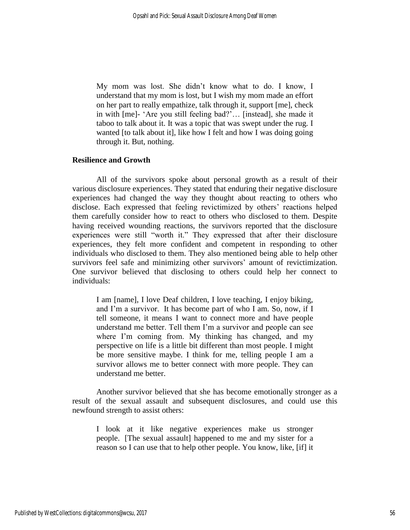My mom was lost. She didn't know what to do. I know, I understand that my mom is lost, but I wish my mom made an effort on her part to really empathize, talk through it, support [me], check in with [me]- 'Are you still feeling bad?'… [instead], she made it taboo to talk about it. It was a topic that was swept under the rug. I wanted [to talk about it], like how I felt and how I was doing going through it. But, nothing.

## **Resilience and Growth**

All of the survivors spoke about personal growth as a result of their various disclosure experiences. They stated that enduring their negative disclosure experiences had changed the way they thought about reacting to others who disclose. Each expressed that feeling revictimized by others' reactions helped them carefully consider how to react to others who disclosed to them. Despite having received wounding reactions, the survivors reported that the disclosure experiences were still "worth it." They expressed that after their disclosure experiences, they felt more confident and competent in responding to other individuals who disclosed to them. They also mentioned being able to help other survivors feel safe and minimizing other survivors' amount of revictimization. One survivor believed that disclosing to others could help her connect to individuals:

I am [name], I love Deaf children, I love teaching, I enjoy biking, and I'm a survivor. It has become part of who I am. So, now, if I tell someone, it means I want to connect more and have people understand me better. Tell them I'm a survivor and people can see where I'm coming from. My thinking has changed, and my perspective on life is a little bit different than most people. I might be more sensitive maybe. I think for me, telling people I am a survivor allows me to better connect with more people. They can understand me better.

Another survivor believed that she has become emotionally stronger as a result of the sexual assault and subsequent disclosures, and could use this newfound strength to assist others:

I look at it like negative experiences make us stronger people. [The sexual assault] happened to me and my sister for a reason so I can use that to help other people. You know, like, [if] it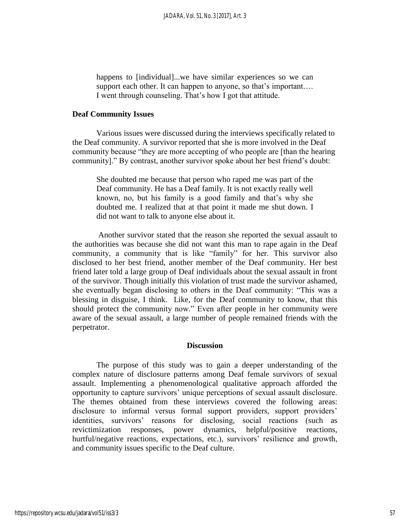happens to [individual]...we have similar experiences so we can support each other. It can happen to anyone, so that's important.... I went through counseling. That's how I got that attitude.

#### **Deaf Community Issues**

Various issues were discussed during the interviews specifically related to the Deaf community. A survivor reported that she is more involved in the Deaf community because "they are more accepting of who people are [than the hearing community]." By contrast, another survivor spoke about her best friend's doubt:

She doubted me because that person who raped me was part of the Deaf community. He has a Deaf family. It is not exactly really well known, no, but his family is a good family and that's why she doubted me. I realized that at that point it made me shut down. I did not want to talk to anyone else about it.

Another survivor stated that the reason she reported the sexual assault to the authorities was because she did not want this man to rape again in the Deaf community, a community that is like "family" for her. This survivor also disclosed to her best friend, another member of the Deaf community. Her best friend later told a large group of Deaf individuals about the sexual assault in front of the survivor. Though initially this violation of trust made the survivor ashamed, she eventually began disclosing to others in the Deaf community: "This was a blessing in disguise, I think. Like, for the Deaf community to know, that this should protect the community now." Even after people in her community were aware of the sexual assault, a large number of people remained friends with the perpetrator.

#### **Discussion**

The purpose of this study was to gain a deeper understanding of the complex nature of disclosure patterns among Deaf female survivors of sexual assault. Implementing a phenomenological qualitative approach afforded the opportunity to capture survivors' unique perceptions of sexual assault disclosure. The themes obtained from these interviews covered the following areas: disclosure to informal versus formal support providers, support providers' identities, survivors' reasons for disclosing, social reactions (such as revictimization responses, power dynamics, helpful/positive reactions, hurtful/negative reactions, expectations, etc.), survivors' resilience and growth, and community issues specific to the Deaf culture.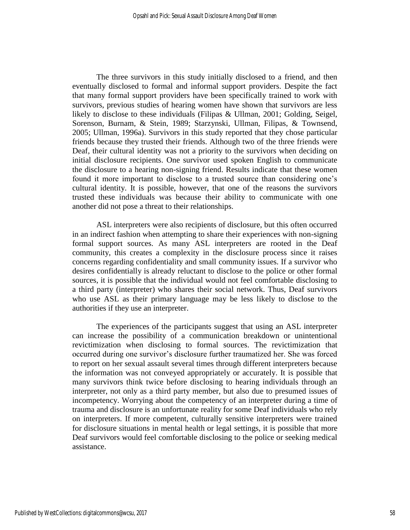The three survivors in this study initially disclosed to a friend, and then eventually disclosed to formal and informal support providers. Despite the fact that many formal support providers have been specifically trained to work with survivors, previous studies of hearing women have shown that survivors are less likely to disclose to these individuals (Filipas & Ullman, 2001; Golding, Seigel, Sorenson, Burnam, & Stein, 1989; Starzynski, Ullman, Filipas, & Townsend, 2005; Ullman, 1996a). Survivors in this study reported that they chose particular friends because they trusted their friends. Although two of the three friends were Deaf, their cultural identity was not a priority to the survivors when deciding on initial disclosure recipients. One survivor used spoken English to communicate the disclosure to a hearing non-signing friend. Results indicate that these women found it more important to disclose to a trusted source than considering one's cultural identity. It is possible, however, that one of the reasons the survivors trusted these individuals was because their ability to communicate with one another did not pose a threat to their relationships.

ASL interpreters were also recipients of disclosure, but this often occurred in an indirect fashion when attempting to share their experiences with non-signing formal support sources. As many ASL interpreters are rooted in the Deaf community, this creates a complexity in the disclosure process since it raises concerns regarding confidentiality and small community issues. If a survivor who desires confidentially is already reluctant to disclose to the police or other formal sources, it is possible that the individual would not feel comfortable disclosing to a third party (interpreter) who shares their social network. Thus, Deaf survivors who use ASL as their primary language may be less likely to disclose to the authorities if they use an interpreter.

The experiences of the participants suggest that using an ASL interpreter can increase the possibility of a communication breakdown or unintentional revictimization when disclosing to formal sources. The revictimization that occurred during one survivor's disclosure further traumatized her. She was forced to report on her sexual assault several times through different interpreters because the information was not conveyed appropriately or accurately. It is possible that many survivors think twice before disclosing to hearing individuals through an interpreter, not only as a third party member, but also due to presumed issues of incompetency. Worrying about the competency of an interpreter during a time of trauma and disclosure is an unfortunate reality for some Deaf individuals who rely on interpreters. If more competent, culturally sensitive interpreters were trained for disclosure situations in mental health or legal settings, it is possible that more Deaf survivors would feel comfortable disclosing to the police or seeking medical assistance.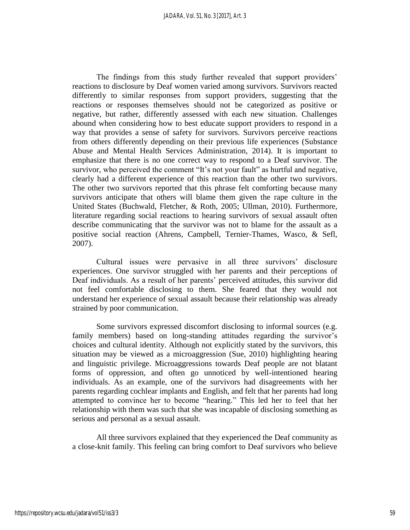The findings from this study further revealed that support providers' reactions to disclosure by Deaf women varied among survivors. Survivors reacted differently to similar responses from support providers, suggesting that the reactions or responses themselves should not be categorized as positive or negative, but rather, differently assessed with each new situation. Challenges abound when considering how to best educate support providers to respond in a way that provides a sense of safety for survivors. Survivors perceive reactions from others differently depending on their previous life experiences (Substance Abuse and Mental Health Services Administration, 2014). It is important to emphasize that there is no one correct way to respond to a Deaf survivor. The survivor, who perceived the comment "It's not your fault" as hurtful and negative, clearly had a different experience of this reaction than the other two survivors. The other two survivors reported that this phrase felt comforting because many survivors anticipate that others will blame them given the rape culture in the United States (Buchwald, Fletcher, & Roth, 2005; Ullman, 2010). Furthermore, literature regarding social reactions to hearing survivors of sexual assault often describe communicating that the survivor was not to blame for the assault as a positive social reaction (Ahrens, Campbell, Ternier-Thames, Wasco, & Sefl, 2007).

Cultural issues were pervasive in all three survivors' disclosure experiences. One survivor struggled with her parents and their perceptions of Deaf individuals. As a result of her parents' perceived attitudes, this survivor did not feel comfortable disclosing to them. She feared that they would not understand her experience of sexual assault because their relationship was already strained by poor communication.

Some survivors expressed discomfort disclosing to informal sources (e.g. family members) based on long-standing attitudes regarding the survivor's choices and cultural identity. Although not explicitly stated by the survivors, this situation may be viewed as a microaggression (Sue, 2010) highlighting hearing and linguistic privilege. Microaggressions towards Deaf people are not blatant forms of oppression, and often go unnoticed by well-intentioned hearing individuals. As an example, one of the survivors had disagreements with her parents regarding cochlear implants and English, and felt that her parents had long attempted to convince her to become "hearing." This led her to feel that her relationship with them was such that she was incapable of disclosing something as serious and personal as a sexual assault.

All three survivors explained that they experienced the Deaf community as a close-knit family. This feeling can bring comfort to Deaf survivors who believe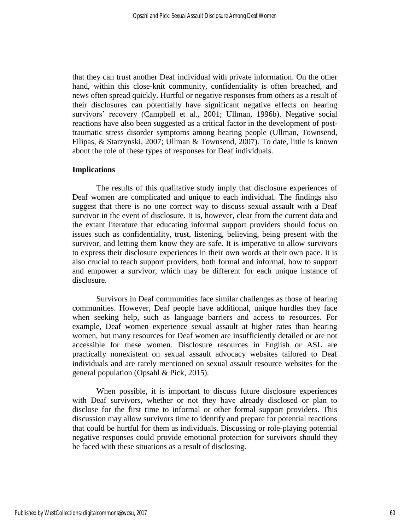that they can trust another Deaf individual with private information. On the other hand, within this close-knit community, confidentiality is often breached, and news often spread quickly. Hurtful or negative responses from others as a result of their disclosures can potentially have significant negative effects on hearing survivors' recovery (Campbell et al., 2001; Ullman, 1996b). Negative social reactions have also been suggested as a critical factor in the development of posttraumatic stress disorder symptoms among hearing people (Ullman, Townsend, Filipas, & Starzynski, 2007; Ullman & Townsend, 2007). To date, little is known about the role of these types of responses for Deaf individuals.

#### **Implications**

The results of this qualitative study imply that disclosure experiences of Deaf women are complicated and unique to each individual. The findings also suggest that there is no one correct way to discuss sexual assault with a Deaf survivor in the event of disclosure. It is, however, clear from the current data and the extant literature that educating informal support providers should focus on issues such as confidentiality, trust, listening, believing, being present with the survivor, and letting them know they are safe. It is imperative to allow survivors to express their disclosure experiences in their own words at their own pace. It is also crucial to teach support providers, both formal and informal, how to support and empower a survivor, which may be different for each unique instance of disclosure.

Survivors in Deaf communities face similar challenges as those of hearing communities. However, Deaf people have additional, unique hurdles they face when seeking help, such as language barriers and access to resources. For example, Deaf women experience sexual assault at higher rates than hearing women, but many resources for Deaf women are insufficiently detailed or are not accessible for these women. Disclosure resources in English or ASL are practically nonexistent on sexual assault advocacy websites tailored to Deaf individuals and are rarely mentioned on sexual assault resource websites for the general population (Opsahl & Pick, 2015).

When possible, it is important to discuss future disclosure experiences with Deaf survivors, whether or not they have already disclosed or plan to disclose for the first time to informal or other formal support providers. This discussion may allow survivors time to identify and prepare for potential reactions that could be hurtful for them as individuals. Discussing or role-playing potential negative responses could provide emotional protection for survivors should they be faced with these situations as a result of disclosing.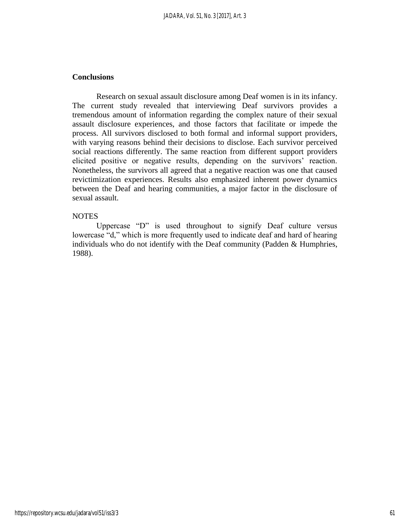# **Conclusions**

Research on sexual assault disclosure among Deaf women is in its infancy. The current study revealed that interviewing Deaf survivors provides a tremendous amount of information regarding the complex nature of their sexual assault disclosure experiences, and those factors that facilitate or impede the process. All survivors disclosed to both formal and informal support providers, with varying reasons behind their decisions to disclose. Each survivor perceived social reactions differently. The same reaction from different support providers elicited positive or negative results, depending on the survivors' reaction. Nonetheless, the survivors all agreed that a negative reaction was one that caused revictimization experiences. Results also emphasized inherent power dynamics between the Deaf and hearing communities, a major factor in the disclosure of sexual assault.

#### **NOTES**

Uppercase "D" is used throughout to signify Deaf culture versus lowercase "d," which is more frequently used to indicate deaf and hard of hearing individuals who do not identify with the Deaf community (Padden & Humphries, 1988).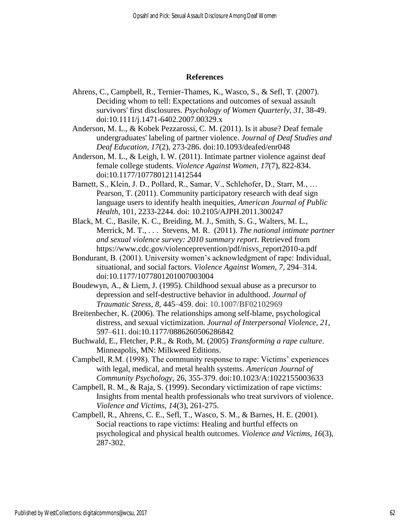#### **References**

- Ahrens, C., Campbell, R., Ternier-Thames, K., Wasco, S., & Sefl, T. (2007). Deciding whom to tell: Expectations and outcomes of sexual assault survivors' first disclosures. *Psychology of Women Quarterly, 31*, 38-49. doi:10.1111/j.1471-6402.2007.00329.x
- Anderson, M. L., & Kobek Pezzarossi, C. M. (2011). Is it abuse? Deaf female undergraduates' labeling of partner violence. *Journal of Deaf Studies and Deaf Education*, *17*(2), 273-286. doi:10.1093/deafed/enr048
- Anderson, M. L., & Leigh, I. W. (2011). Intimate partner violence against deaf female college students. *Violence Against Women, 17*(7), 822-834. doi:10.1177/1077801211412544
- Barnett, S., Klein, J. D., Pollard, R., Samar, V., Schlehofer, D., Starr, M., … Pearson, T. (2011). Community participatory research with deaf sign language users to identify health inequities, *American Journal of Public Health*, 101, 2233-2244. doi: 10.2105/AJPH.2011.300247
- Black, M. C., Basile, K. C., Breiding, M. J., Smith, S. G., Walters, M. L., Merrick, M. T., . . . Stevens, M. R. (2011). *The national intimate partner and sexual violence survey: 2010 summary report*. Retrieved from https://www.cdc.gov/violenceprevention/pdf/nisvs\_report2010-a.pdf
- Bondurant, B. (2001). University women's acknowledgment of rape: Individual, situational, and social factors. *Violence Against Women*, *7,* 294–314. doi:10.1177/1077801201007003004
- Boudewyn, A., & Liem, J. (1995). Childhood sexual abuse as a precursor to depression and self-destructive behavior in adulthood. *Journal of Traumatic Stress, 8,* 445–459. doi: 10.1007/BF02102969
- Breitenbecher, K. (2006). The relationships among self-blame, psychological distress, and sexual victimization. *Journal of Interpersonal Violence, 21,*  597–611. doi:10.1177/0886260506286842
- Buchwald, E., Fletcher, P.R., & Roth, M. (2005) *Transforming a rape culture*. Minneapolis, MN: Milkweed Editions.
- Campbell, R.M. (1998). The community response to rape: Victims' experiences with legal, medical, and metal health systems. *American Journal of Community Psychology*, 26, 355-379. doi:10.1023/A:1022155003633
- Campbell, R. M., & Raja, S. (1999). Secondary victimization of rape victims: Insights from mental health professionals who treat survivors of violence. *Violence and Victims, 14*(3), 261-275.
- Campbell, R., Ahrens, C. E., Sefl, T., Wasco, S. M., & Barnes, H. E. (2001). Social reactions to rape victims: Healing and hurtful effects on psychological and physical health outcomes. *Violence and Victims, 16*(3), 287-302.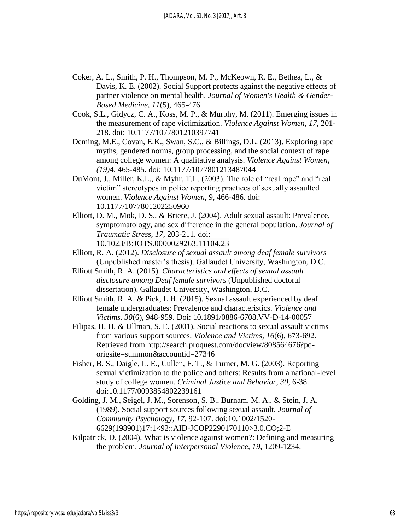- Coker, A. L., Smith, P. H., Thompson, M. P., McKeown, R. E., Bethea, L., & Davis, K. E. (2002). Social Support protects against the negative effects of partner violence on mental health. *Journal of Women's Health & Gender-Based Medicine, 11*(5), 465-476.
- Cook, S.L., Gidycz, C. A., Koss, M. P., & Murphy, M. (2011). Emerging issues in the measurement of rape victimization. *Violence Against Women, 17*, 201- 218. doi: [10.1177/1077801210397741](https://doi.org/10.1177/1077801210397741)
- Deming, M.E., Covan, E.K., Swan, S.C., & Billings, D.L. (2013). Exploring rape myths, gendered norms, group processing, and the social context of rape among college women: A qualitative analysis. *Violence Against Women*, *(19)*4, 465-485. doi: 10.1177/1077801213487044
- DuMont, J., Miller, K.L., & Myhr, T.L. (2003). The role of "real rape" and "real victim" stereotypes in police reporting practices of sexually assaulted women. *Violence Against Women*, 9, 466-486. doi: [10.1177/1077801202250960](https://doi.org/10.1177/1077801202250960)
- Elliott, D. M., Mok, D. S., & Briere, J. (2004). Adult sexual assault: Prevalence, symptomatology, and sex difference in the general population. *Journal of Traumatic Stress, 17*, 203-211. doi: 10.1023/B:JOTS.0000029263.11104.23
- Elliott, R. A. (2012). *Disclosure of sexual assault among deaf female survivors*  (Unpublished master's thesis). Gallaudet University, Washington, D.C.
- Elliott Smith, R. A. (2015). *Characteristics and effects of sexual assault disclosure among Deaf female survivors* (Unpublished doctoral dissertation). Gallaudet University, Washington, D.C.
- Elliott Smith, R. A. & Pick, L.H. (2015). Sexual assault experienced by deaf female undergraduates: Prevalence and characteristics. *Violence and Victims*. *30*(6), 948-959. Doi: [10.1891/0886-6708.VV-D-14-00057](https://doi.org/10.1891/0886-6708.VV-D-14-00057)
- Filipas, H. H. & Ullman, S. E. (2001). Social reactions to sexual assault victims from various support sources. *Violence and Victims, 16*(6), 673-692. Retrieved from http://search.proquest.com/docview/808564676?pqorigsite=summon&accountid=27346
- Fisher, B. S., Daigle, L. E., Cullen, F. T., & Turner, M. G. (2003). Reporting sexual victimization to the police and others: Results from a national-level study of college women. *Criminal Justice and Behavior, 30*, 6-38. doi:10.1177/0093854802239161
- Golding, J. M., Seigel, J. M., Sorenson, S. B., Burnam, M. A., & Stein, J. A. (1989). Social support sources following sexual assault. *Journal of Community Psychology, 17*, 92-107. doi:10.1002/1520- 6629(198901)17:1<92::AID-JCOP2290170110>3.0.CO;2-E
- Kilpatrick, D. (2004). What is violence against women?: Defining and measuring the problem. *Journal of Interpersonal Violence, 19*, 1209-1234.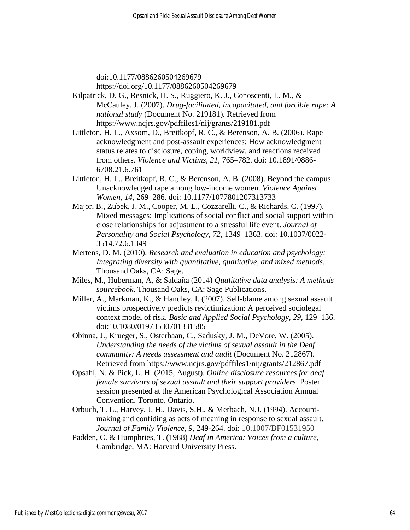doi:10.1177/0886260504269679 <https://doi.org/10.1177/0886260504269679>

- Kilpatrick, D. G., Resnick, H. S., Ruggiero, K. J., Conoscenti, L. M., & McCauley, J. (2007). *Drug-facilitated, incapacitated, and forcible rape: A national study* (Document No. 219181)*.* Retrieved from https://www.ncjrs.gov/pdffiles1/nij/grants/219181.pdf
- Littleton, H. L., Axsom, D., Breitkopf, R. C., & Berenson, A. B. (2006). Rape acknowledgment and post-assault experiences: How acknowledgment status relates to disclosure, coping, worldview, and reactions received from others. *Violence and Victims*, *21,* 765–782. doi: 10.1891/0886- 6708.21.6.761
- Littleton, H. L., Breitkopf, R. C., & Berenson, A. B. (2008). Beyond the campus: Unacknowledged rape among low-income women. *Violence Against Women*, *14,* 269–286. doi: 10.1177/1077801207313733
- Major, B., Zubek, J. M., Cooper, M. L., Cozzarelli, C., & Richards, C. (1997). Mixed messages: Implications of social conflict and social support within close relationships for adjustment to a stressful life event. *Journal of Personality and Social Psychology, 72,* 1349–1363. doi: 10.1037/0022- 3514.72.6.1349
- Mertens, D. M. (2010). *Research and evaluation in education and psychology: Integrating diversity with quantitative, qualitative, and mixed methods*. Thousand Oaks, CA: Sage.
- Miles, M., Huberman, A, & Saldaña (2014) *Qualitative data analysis: A methods sourcebook*. Thousand Oaks, CA: Sage Publications.
- Miller, A., Markman, K., & Handley, I. (2007). Self-blame among sexual assault victims prospectively predicts revictimization: A perceived sociolegal context model of risk. *Basic and Applied Social Psychology, 29,* 129–136. doi:10.1080/01973530701331585
- Obinna, J., Krueger, S., Osterbaan, C., Sadusky, J. M., DeVore, W. (2005). *Understanding the needs of the victims of sexual assault in the Deaf community: A needs assessment and audit* (Document No. 212867). Retrieved from<https://www.ncjrs.gov/pdffiles1/nij/grants/212867.pdf>
- Opsahl, N. & Pick, L. H. (2015, August). *Online disclosure resources for deaf female survivors of sexual assault and their support providers*. Poster session presented at the American Psychological Association Annual Convention, Toronto*,* Ontario.
- Orbuch, T. L., Harvey, J. H., Davis, S.H., & Merbach, N.J. (1994). Accountmaking and confiding as acts of meaning in response to sexual assault. *Journal of Family Violence, 9*, 249-264. doi: 10.1007/BF01531950
- Padden, C. & Humphries, T. (1988) *Deaf in America: Voices from a culture,*  Cambridge, MA: Harvard University Press.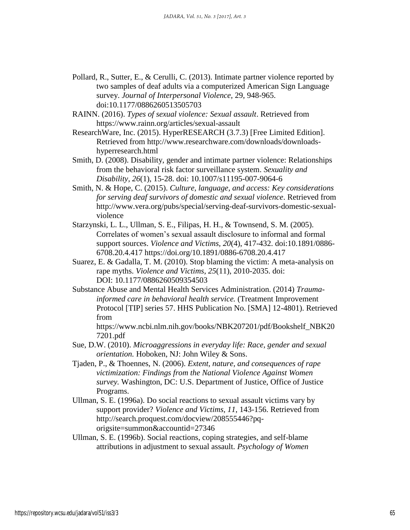- Pollard, R., Sutter, E., & Cerulli, C. (2013). Intimate partner violence reported by two samples of deaf adults via a computerized American Sign Language survey. *Journal of Interpersonal Violence,* 29, 948-965. doi[:10.1177/0886260513505703](https://doi.org/10.1177/0886260513505703)
- RAINN. (2016). *Types of sexual violence: Sexual assault*. Retrieved from https://www.rainn.org/articles/sexual-assault
- ResearchWare, Inc. (2015). HyperRESEARCH (3.7.3) [Free Limited Edition]. Retrieved from [http://www.researchware.com/downloads/downloads](http://www.researchware.com/downloads/downloads-hyperresearch.html)[hyperresearch.html](http://www.researchware.com/downloads/downloads-hyperresearch.html)
- Smith, D. (2008). Disability, gender and intimate partner violence: Relationships from the behavioral risk factor surveillance system. *Sexuality and Disability, 26*(1), 15-28. doi: 10.1007/s11195-007-9064-6
- Smith, N. & Hope, C. (2015). *Culture, language, and access: Key considerations for serving deaf survivors of domestic and sexual violence*. Retrieved from [http://www.vera.org/pubs/special/serving-deaf-survivors-domestic-sexual](http://www.vera.org/pubs/special/serving-deaf-survivors-domestic-sexual-violence)[violence](http://www.vera.org/pubs/special/serving-deaf-survivors-domestic-sexual-violence)
- Starzynski, L. L., Ullman, S. E., Filipas, H. H., & Townsend, S. M. (2005). Correlates of women's sexual assault disclosure to informal and formal support sources. *Violence and Victims, 20*(4), 417-432. doi:10.1891/0886- 6708.20.4.417<https://doi.org/10.1891/0886-6708.20.4.417>
- Suarez, E. & Gadalla, T. M. (2010). Stop blaming the victim: A meta-analysis on rape myths. *Violence and Victims*, *25*(11), 2010-2035. doi: DOI: 10.1177/0886260509354503
- Substance Abuse and Mental Health Services Administration. (2014) *Traumainformed care in behavioral health service.* (Treatment Improvement Protocol [TIP] series 57. HHS Publication No. [SMA] 12-4801). Retrieved from
	- https://www.ncbi.nlm.nih.gov/books/NBK207201/pdf/Bookshelf\_NBK20 7201.pdf
- Sue, D.W. (2010). *Microaggressions in everyday life: Race, gender and sexual orientation.* Hoboken, NJ: John Wiley & Sons.
- Tjaden, P., & Thoennes, N. (2006). *Extent, nature, and consequences of rape victimization: Findings from the National Violence Against Women survey.* Washington, DC: U.S. Department of Justice, Office of Justice Programs.
- Ullman, S. E. (1996a). Do social reactions to sexual assault victims vary by support provider? *Violence and Victims, 11*, 143-156. Retrieved from http://search.proquest.com/docview/208555446?pqorigsite=summon&accountid=27346
- Ullman, S. E. (1996b). Social reactions, coping strategies, and self-blame attributions in adjustment to sexual assault. *Psychology of Women*